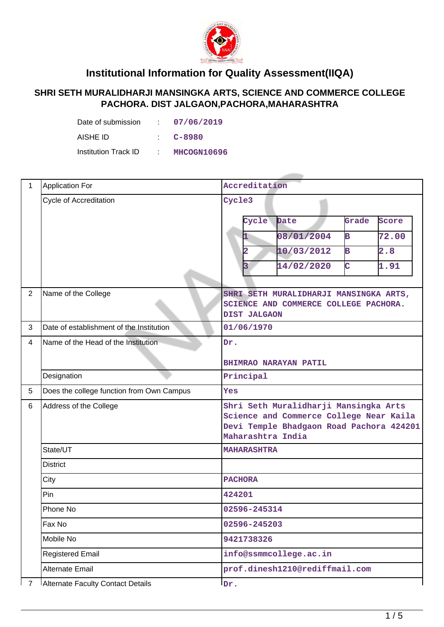

## **Institutional Information for Quality Assessment(IIQA)**

## **SHRI SETH MURALIDHARJI MANSINGKA ARTS, SCIENCE AND COMMERCE COLLEGE PACHORA. DIST JALGAON,PACHORA,MAHARASHTRA**

| Date of submission   | 07/06/2019  |
|----------------------|-------------|
| AISHE ID             | C-8980      |
| Institution Track ID | MHCOGN10696 |

| $\mathbf{1}$            | <b>Application For</b>                    | Accreditation                                                                                                                                     |  |  |  |  |
|-------------------------|-------------------------------------------|---------------------------------------------------------------------------------------------------------------------------------------------------|--|--|--|--|
|                         | Cycle of Accreditation                    | Cycle3                                                                                                                                            |  |  |  |  |
|                         |                                           | Cycle<br><b>Date</b><br>Grade<br>Score                                                                                                            |  |  |  |  |
|                         |                                           | 08/01/2004<br>B<br>72.00<br>1                                                                                                                     |  |  |  |  |
|                         |                                           | 2.8<br>10/03/2012<br>В<br>2                                                                                                                       |  |  |  |  |
|                         |                                           | C<br>3<br>14/02/2020<br>1.91                                                                                                                      |  |  |  |  |
|                         |                                           |                                                                                                                                                   |  |  |  |  |
| $\overline{2}$          | Name of the College                       | SHRI SETH MURALIDHARJI MANSINGKA ARTS,<br>SCIENCE AND COMMERCE COLLEGE PACHORA.                                                                   |  |  |  |  |
|                         |                                           | <b>DIST JALGAON</b>                                                                                                                               |  |  |  |  |
| 3                       | Date of establishment of the Institution  | 01/06/1970                                                                                                                                        |  |  |  |  |
| $\overline{\mathbf{4}}$ | Name of the Head of the Institution       | Dr.                                                                                                                                               |  |  |  |  |
|                         |                                           | BHIMRAO NARAYAN PATIL                                                                                                                             |  |  |  |  |
|                         | Designation                               | Principal                                                                                                                                         |  |  |  |  |
| 5                       | Does the college function from Own Campus | Yes                                                                                                                                               |  |  |  |  |
| 6                       | Address of the College                    | Shri Seth Muralidharji Mansingka Arts<br>Science and Commerce College Near Kaila<br>Devi Temple Bhadgaon Road Pachora 424201<br>Maharashtra India |  |  |  |  |
|                         | State/UT                                  | <b>MAHARASHTRA</b>                                                                                                                                |  |  |  |  |
|                         | <b>District</b>                           |                                                                                                                                                   |  |  |  |  |
|                         | City                                      | <b>PACHORA</b>                                                                                                                                    |  |  |  |  |
|                         | Pin                                       | 424201                                                                                                                                            |  |  |  |  |
|                         | Phone No                                  | 02596-245314                                                                                                                                      |  |  |  |  |
|                         | Fax No                                    | 02596-245203                                                                                                                                      |  |  |  |  |
|                         | Mobile No                                 | 9421738326                                                                                                                                        |  |  |  |  |
|                         | <b>Registered Email</b>                   | info@ssmmcollege.ac.in                                                                                                                            |  |  |  |  |
|                         | Alternate Email                           | prof.dinesh1210@rediffmail.com                                                                                                                    |  |  |  |  |
| $\overline{7}$          | Alternate Faculty Contact Details         | $I_{\text{Dr}}$ .                                                                                                                                 |  |  |  |  |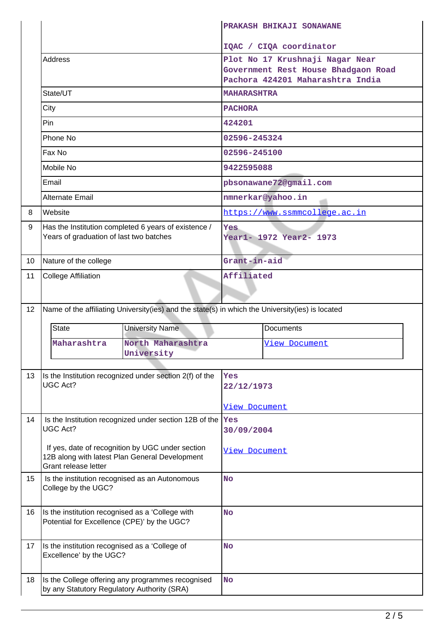|                 |                                                                       |                                                                                                    |                      | PRAKASH BHIKAJI SONAWANE                                                |  |  |
|-----------------|-----------------------------------------------------------------------|----------------------------------------------------------------------------------------------------|----------------------|-------------------------------------------------------------------------|--|--|
|                 |                                                                       |                                                                                                    |                      | IQAC / CIQA coordinator                                                 |  |  |
|                 | <b>Address</b>                                                        |                                                                                                    |                      | Plot No 17 Krushnaji Nagar Near                                         |  |  |
|                 |                                                                       |                                                                                                    |                      | Government Rest House Bhadgaon Road<br>Pachora 424201 Maharashtra India |  |  |
|                 | State/UT                                                              |                                                                                                    | <b>MAHARASHTRA</b>   |                                                                         |  |  |
|                 | City                                                                  |                                                                                                    | <b>PACHORA</b>       |                                                                         |  |  |
|                 | Pin                                                                   |                                                                                                    | 424201               |                                                                         |  |  |
|                 | Phone No                                                              |                                                                                                    | 02596-245324         |                                                                         |  |  |
|                 | Fax No                                                                |                                                                                                    | 02596-245100         |                                                                         |  |  |
|                 | Mobile No                                                             |                                                                                                    | 9422595088           |                                                                         |  |  |
|                 | Email                                                                 |                                                                                                    |                      | pbsonawane72@gmail.com                                                  |  |  |
|                 | <b>Alternate Email</b>                                                |                                                                                                    |                      | nmnerkar@yahoo.in                                                       |  |  |
| 8               | Website                                                               |                                                                                                    |                      | https://www.ssmmcollege.ac.in                                           |  |  |
| 9               |                                                                       | Has the Institution completed 6 years of existence /                                               | <b>Yes</b>           |                                                                         |  |  |
|                 | Years of graduation of last two batches                               |                                                                                                    |                      | Year1- 1972 Year2- 1973                                                 |  |  |
| 10 <sup>°</sup> | Nature of the college                                                 |                                                                                                    | Grant-in-aid         |                                                                         |  |  |
| 11              | <b>College Affiliation</b>                                            |                                                                                                    | Affiliated           |                                                                         |  |  |
|                 |                                                                       |                                                                                                    |                      |                                                                         |  |  |
| 12              |                                                                       | Name of the affiliating University(ies) and the state(s) in which the University(ies) is located   |                      |                                                                         |  |  |
|                 | <b>University Name</b><br><b>State</b>                                |                                                                                                    |                      |                                                                         |  |  |
|                 |                                                                       |                                                                                                    |                      |                                                                         |  |  |
|                 |                                                                       |                                                                                                    |                      | <b>Documents</b>                                                        |  |  |
|                 | Maharashtra                                                           | North Maharashtra<br>University                                                                    |                      | View Document                                                           |  |  |
|                 |                                                                       |                                                                                                    |                      |                                                                         |  |  |
| 13              | <b>UGC Act?</b>                                                       | Is the Institution recognized under section 2(f) of the                                            | Yes                  |                                                                         |  |  |
|                 |                                                                       |                                                                                                    | 22/12/1973           |                                                                         |  |  |
|                 |                                                                       |                                                                                                    | <b>View Document</b> |                                                                         |  |  |
| 14              | UGC Act?                                                              | Is the Institution recognized under section 12B of the  Yes                                        | 30/09/2004           |                                                                         |  |  |
|                 |                                                                       |                                                                                                    |                      |                                                                         |  |  |
|                 |                                                                       | If yes, date of recognition by UGC under section<br>12B along with latest Plan General Development | View Document        |                                                                         |  |  |
|                 | Grant release letter                                                  |                                                                                                    |                      |                                                                         |  |  |
| 15              | Is the institution recognised as an Autonomous<br>College by the UGC? |                                                                                                    | <b>No</b>            |                                                                         |  |  |
|                 |                                                                       |                                                                                                    |                      |                                                                         |  |  |
| 16              | Is the institution recognised as a 'College with                      |                                                                                                    | <b>No</b>            |                                                                         |  |  |
|                 | Potential for Excellence (CPE)' by the UGC?                           |                                                                                                    |                      |                                                                         |  |  |
| 17              | Is the institution recognised as a 'College of                        |                                                                                                    | <b>No</b>            |                                                                         |  |  |
|                 | Excellence' by the UGC?                                               |                                                                                                    |                      |                                                                         |  |  |
| 18              |                                                                       | Is the College offering any programmes recognised                                                  | <b>No</b>            |                                                                         |  |  |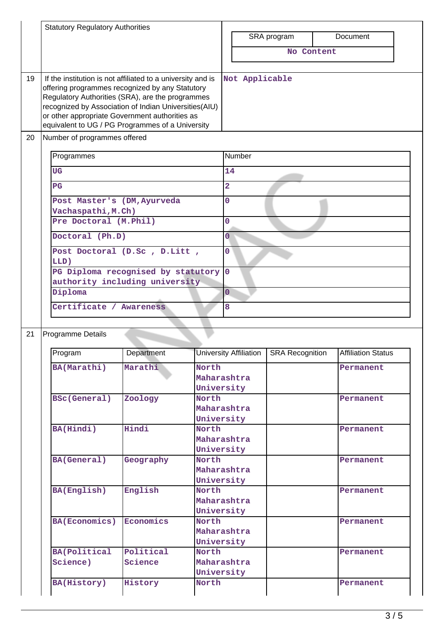| SRA program<br>Document<br>No Content<br>19<br>If the institution is not affiliated to a university and is<br>Not Applicable<br>offering programmes recognized by any Statutory<br>Regulatory Authorities (SRA), are the programmes<br>recognized by Association of Indian Universities(AIU)<br>or other appropriate Government authorities as<br>equivalent to UG / PG Programmes of a University<br>20<br>Number of programmes offered<br><b>Number</b><br>Programmes<br>14<br><b>UG</b><br>$\overline{2}$<br>$_{\rm PG}$<br>$\overline{0}$<br>Post Master's (DM, Ayurveda<br>Vachaspathi, M.Ch)<br>Pre Doctoral (M.Phil)<br>$\overline{0}$<br>Ō<br>Doctoral (Ph.D)<br>$\overline{0}$<br>Post Doctoral (D.Sc , D.Litt ,<br>LLD)<br>PG Diploma recognised by statutory<br>$\overline{0}$<br>authority including university<br>Diploma<br>$\overline{0}$<br>Certificate / Awareness<br>8<br>Programme Details<br>21<br>University Affiliation   SRA Recognition<br>Program<br>Department<br><b>Affiliation Status</b> |
|-----------------------------------------------------------------------------------------------------------------------------------------------------------------------------------------------------------------------------------------------------------------------------------------------------------------------------------------------------------------------------------------------------------------------------------------------------------------------------------------------------------------------------------------------------------------------------------------------------------------------------------------------------------------------------------------------------------------------------------------------------------------------------------------------------------------------------------------------------------------------------------------------------------------------------------------------------------------------------------------------------------------------|
|                                                                                                                                                                                                                                                                                                                                                                                                                                                                                                                                                                                                                                                                                                                                                                                                                                                                                                                                                                                                                       |
|                                                                                                                                                                                                                                                                                                                                                                                                                                                                                                                                                                                                                                                                                                                                                                                                                                                                                                                                                                                                                       |
|                                                                                                                                                                                                                                                                                                                                                                                                                                                                                                                                                                                                                                                                                                                                                                                                                                                                                                                                                                                                                       |
|                                                                                                                                                                                                                                                                                                                                                                                                                                                                                                                                                                                                                                                                                                                                                                                                                                                                                                                                                                                                                       |
|                                                                                                                                                                                                                                                                                                                                                                                                                                                                                                                                                                                                                                                                                                                                                                                                                                                                                                                                                                                                                       |
|                                                                                                                                                                                                                                                                                                                                                                                                                                                                                                                                                                                                                                                                                                                                                                                                                                                                                                                                                                                                                       |
|                                                                                                                                                                                                                                                                                                                                                                                                                                                                                                                                                                                                                                                                                                                                                                                                                                                                                                                                                                                                                       |
|                                                                                                                                                                                                                                                                                                                                                                                                                                                                                                                                                                                                                                                                                                                                                                                                                                                                                                                                                                                                                       |
|                                                                                                                                                                                                                                                                                                                                                                                                                                                                                                                                                                                                                                                                                                                                                                                                                                                                                                                                                                                                                       |
|                                                                                                                                                                                                                                                                                                                                                                                                                                                                                                                                                                                                                                                                                                                                                                                                                                                                                                                                                                                                                       |
|                                                                                                                                                                                                                                                                                                                                                                                                                                                                                                                                                                                                                                                                                                                                                                                                                                                                                                                                                                                                                       |
|                                                                                                                                                                                                                                                                                                                                                                                                                                                                                                                                                                                                                                                                                                                                                                                                                                                                                                                                                                                                                       |
|                                                                                                                                                                                                                                                                                                                                                                                                                                                                                                                                                                                                                                                                                                                                                                                                                                                                                                                                                                                                                       |
|                                                                                                                                                                                                                                                                                                                                                                                                                                                                                                                                                                                                                                                                                                                                                                                                                                                                                                                                                                                                                       |
|                                                                                                                                                                                                                                                                                                                                                                                                                                                                                                                                                                                                                                                                                                                                                                                                                                                                                                                                                                                                                       |
|                                                                                                                                                                                                                                                                                                                                                                                                                                                                                                                                                                                                                                                                                                                                                                                                                                                                                                                                                                                                                       |
|                                                                                                                                                                                                                                                                                                                                                                                                                                                                                                                                                                                                                                                                                                                                                                                                                                                                                                                                                                                                                       |
|                                                                                                                                                                                                                                                                                                                                                                                                                                                                                                                                                                                                                                                                                                                                                                                                                                                                                                                                                                                                                       |
|                                                                                                                                                                                                                                                                                                                                                                                                                                                                                                                                                                                                                                                                                                                                                                                                                                                                                                                                                                                                                       |
| BA(Marathi)<br>North<br>Marathi<br>Permanent<br>Maharashtra                                                                                                                                                                                                                                                                                                                                                                                                                                                                                                                                                                                                                                                                                                                                                                                                                                                                                                                                                           |
| University                                                                                                                                                                                                                                                                                                                                                                                                                                                                                                                                                                                                                                                                                                                                                                                                                                                                                                                                                                                                            |
| <b>BSc(General)</b><br>Zoology<br>North<br>Permanent                                                                                                                                                                                                                                                                                                                                                                                                                                                                                                                                                                                                                                                                                                                                                                                                                                                                                                                                                                  |
| Maharashtra                                                                                                                                                                                                                                                                                                                                                                                                                                                                                                                                                                                                                                                                                                                                                                                                                                                                                                                                                                                                           |
| University                                                                                                                                                                                                                                                                                                                                                                                                                                                                                                                                                                                                                                                                                                                                                                                                                                                                                                                                                                                                            |
| Hindi<br>BA(Hindi)<br>North<br>Permanent<br>Maharashtra                                                                                                                                                                                                                                                                                                                                                                                                                                                                                                                                                                                                                                                                                                                                                                                                                                                                                                                                                               |
| University                                                                                                                                                                                                                                                                                                                                                                                                                                                                                                                                                                                                                                                                                                                                                                                                                                                                                                                                                                                                            |
| North<br><b>BA(General)</b><br>Geography<br>Permanent                                                                                                                                                                                                                                                                                                                                                                                                                                                                                                                                                                                                                                                                                                                                                                                                                                                                                                                                                                 |
| Maharashtra                                                                                                                                                                                                                                                                                                                                                                                                                                                                                                                                                                                                                                                                                                                                                                                                                                                                                                                                                                                                           |
| University                                                                                                                                                                                                                                                                                                                                                                                                                                                                                                                                                                                                                                                                                                                                                                                                                                                                                                                                                                                                            |
| BA(English)<br>English<br>North<br>Permanent                                                                                                                                                                                                                                                                                                                                                                                                                                                                                                                                                                                                                                                                                                                                                                                                                                                                                                                                                                          |
| Maharashtra                                                                                                                                                                                                                                                                                                                                                                                                                                                                                                                                                                                                                                                                                                                                                                                                                                                                                                                                                                                                           |
| University                                                                                                                                                                                                                                                                                                                                                                                                                                                                                                                                                                                                                                                                                                                                                                                                                                                                                                                                                                                                            |
| <b>BA(Economics)</b><br>Economics<br>North<br>Permanent                                                                                                                                                                                                                                                                                                                                                                                                                                                                                                                                                                                                                                                                                                                                                                                                                                                                                                                                                               |
| Maharashtra<br>University                                                                                                                                                                                                                                                                                                                                                                                                                                                                                                                                                                                                                                                                                                                                                                                                                                                                                                                                                                                             |
| Political<br><b>BA(Political</b><br>North<br>Permanent                                                                                                                                                                                                                                                                                                                                                                                                                                                                                                                                                                                                                                                                                                                                                                                                                                                                                                                                                                |
| Maharashtra<br>Science)<br>Science                                                                                                                                                                                                                                                                                                                                                                                                                                                                                                                                                                                                                                                                                                                                                                                                                                                                                                                                                                                    |
| University                                                                                                                                                                                                                                                                                                                                                                                                                                                                                                                                                                                                                                                                                                                                                                                                                                                                                                                                                                                                            |
|                                                                                                                                                                                                                                                                                                                                                                                                                                                                                                                                                                                                                                                                                                                                                                                                                                                                                                                                                                                                                       |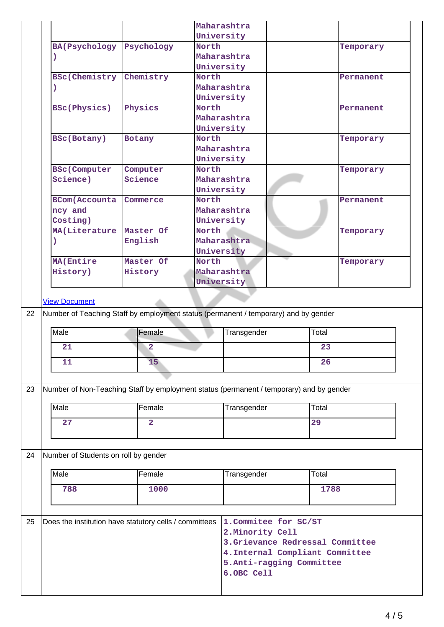|    |                                                                                             |                         |       | Maharashtra                      |       |           |
|----|---------------------------------------------------------------------------------------------|-------------------------|-------|----------------------------------|-------|-----------|
|    |                                                                                             |                         |       | University                       |       |           |
|    | <b>BA(Psychology</b>                                                                        | Psychology              | North |                                  |       | Temporary |
|    |                                                                                             |                         |       | Maharashtra                      |       |           |
|    |                                                                                             |                         |       | University                       |       |           |
|    | <b>BSc(Chemistry</b>                                                                        | Chemistry               | North |                                  |       | Permanent |
|    |                                                                                             |                         |       | Maharashtra                      |       |           |
|    |                                                                                             |                         |       | University                       |       |           |
|    | <b>BSc(Physics)</b>                                                                         | Physics                 | North | Maharashtra                      |       | Permanent |
|    |                                                                                             |                         |       | University                       |       |           |
|    | <b>BSc(Botany)</b>                                                                          | <b>Botany</b>           | North |                                  |       | Temporary |
|    |                                                                                             |                         |       | Maharashtra                      |       |           |
|    |                                                                                             |                         |       | University                       |       |           |
|    | <b>BSc (Computer</b>                                                                        | Computer                | North |                                  |       | Temporary |
|    | Science)                                                                                    | Science                 |       | Maharashtra                      |       |           |
|    |                                                                                             |                         |       | University                       |       |           |
|    | <b>BCom(Accounta</b>                                                                        | Commerce                | North |                                  |       | Permanent |
|    | ncy and                                                                                     |                         |       | Maharashtra                      |       |           |
|    | Costing)                                                                                    |                         |       | University                       |       |           |
|    | MA(Literature                                                                               | Master Of               | North |                                  |       | Temporary |
|    |                                                                                             | English                 |       | Maharashtra                      |       |           |
|    |                                                                                             |                         |       | University                       |       |           |
|    | MA (Entire                                                                                  | Master Of               | North |                                  |       | Temporary |
|    | History)                                                                                    | History                 |       | Maharashtra                      |       |           |
|    |                                                                                             |                         |       | University                       |       |           |
| 22 | Number of Teaching Staff by employment status (permanent / temporary) and by gender<br>Male | Female                  |       | Transgender                      | Total |           |
|    | 21                                                                                          | $\overline{2}$          |       |                                  | 23    |           |
|    | 11                                                                                          | 15 <sub>1</sub>         |       |                                  | 26    |           |
|    |                                                                                             |                         |       |                                  |       |           |
| 23 | Number of Non-Teaching Staff by employment status (permanent / temporary) and by gender     |                         |       |                                  |       |           |
|    | Male                                                                                        | Female                  |       | Transgender                      | Total |           |
|    | 27                                                                                          | $\overline{\mathbf{2}}$ |       |                                  | 29    |           |
| 24 | Number of Students on roll by gender                                                        |                         |       |                                  |       |           |
|    |                                                                                             | Female                  |       | Transgender                      | Total |           |
|    | Male                                                                                        |                         |       |                                  |       |           |
|    | 788                                                                                         | 1000                    |       |                                  | 1788  |           |
|    |                                                                                             |                         |       |                                  |       |           |
|    | Does the institution have statutory cells / committees                                      |                         |       | 1. Commitee for SC/ST            |       |           |
|    |                                                                                             |                         |       | 2. Minority Cell                 |       |           |
|    |                                                                                             |                         |       | 3. Grievance Redressal Committee |       |           |
| 25 |                                                                                             |                         |       | 4. Internal Compliant Committee  |       |           |
|    |                                                                                             |                         |       | 5. Anti-ragging Committee        |       |           |
|    |                                                                                             |                         |       | 6.OBC Cell                       |       |           |
|    |                                                                                             |                         |       |                                  |       |           |